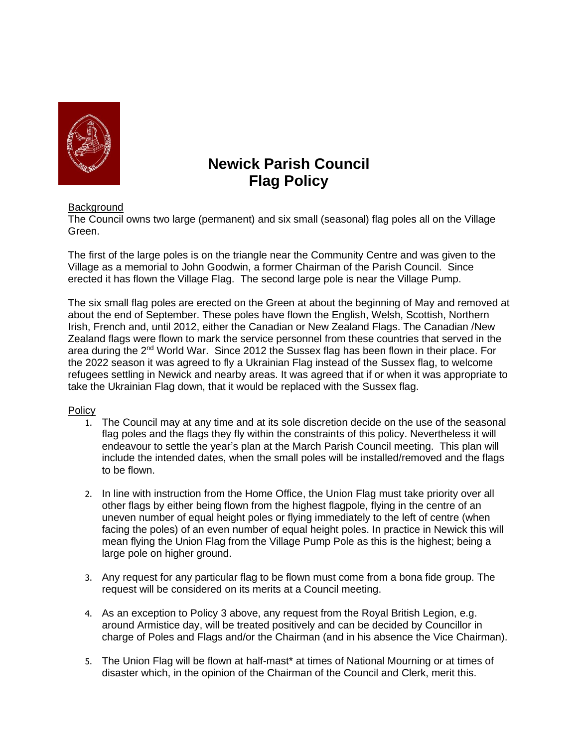

## **Newick Parish Council Flag Policy**

## **Background**

The Council owns two large (permanent) and six small (seasonal) flag poles all on the Village Green.

The first of the large poles is on the triangle near the Community Centre and was given to the Village as a memorial to John Goodwin, a former Chairman of the Parish Council. Since erected it has flown the Village Flag. The second large pole is near the Village Pump.

The six small flag poles are erected on the Green at about the beginning of May and removed at about the end of September. These poles have flown the English, Welsh, Scottish, Northern Irish, French and, until 2012, either the Canadian or New Zealand Flags. The Canadian /New Zealand flags were flown to mark the service personnel from these countries that served in the area during the 2<sup>nd</sup> World War. Since 2012 the Sussex flag has been flown in their place. For the 2022 season it was agreed to fly a Ukrainian Flag instead of the Sussex flag, to welcome refugees settling in Newick and nearby areas. It was agreed that if or when it was appropriate to take the Ukrainian Flag down, that it would be replaced with the Sussex flag.

## Policy

- 1. The Council may at any time and at its sole discretion decide on the use of the seasonal flag poles and the flags they fly within the constraints of this policy. Nevertheless it will endeavour to settle the year's plan at the March Parish Council meeting. This plan will include the intended dates, when the small poles will be installed/removed and the flags to be flown.
- 2. In line with instruction from the Home Office, the Union Flag must take priority over all other flags by either being flown from the highest flagpole, flying in the centre of an uneven number of equal height poles or flying immediately to the left of centre (when facing the poles) of an even number of equal height poles. In practice in Newick this will mean flying the Union Flag from the Village Pump Pole as this is the highest; being a large pole on higher ground.
- 3. Any request for any particular flag to be flown must come from a bona fide group. The request will be considered on its merits at a Council meeting.
- 4. As an exception to Policy 3 above, any request from the Royal British Legion, e.g. around Armistice day, will be treated positively and can be decided by Councillor in charge of Poles and Flags and/or the Chairman (and in his absence the Vice Chairman).
- 5. The Union Flag will be flown at half-mast\* at times of National Mourning or at times of disaster which, in the opinion of the Chairman of the Council and Clerk, merit this.